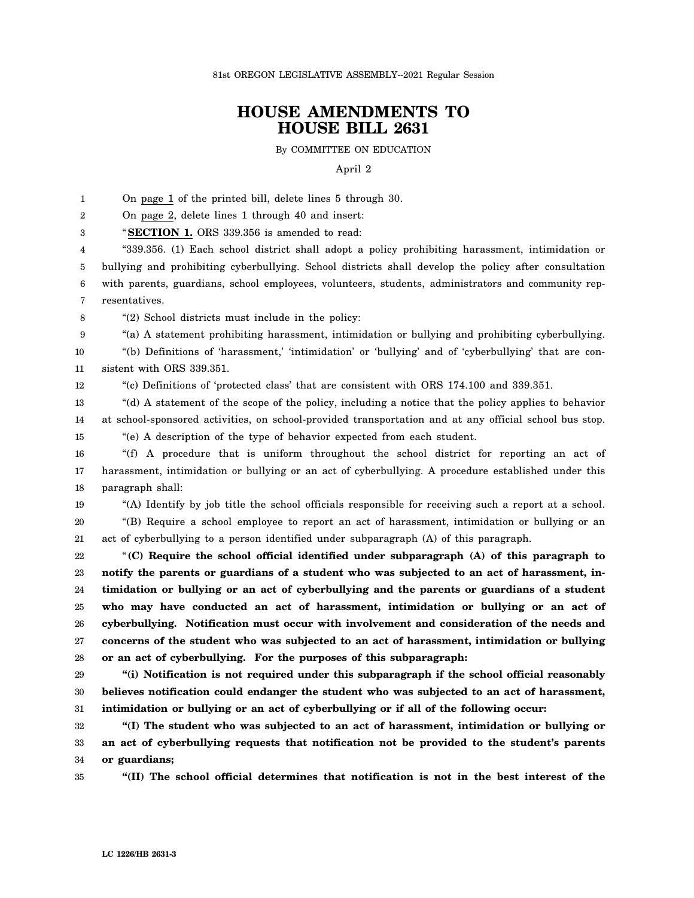81st OREGON LEGISLATIVE ASSEMBLY--2021 Regular Session

## **HOUSE AMENDMENTS TO HOUSE BILL 2631**

By COMMITTEE ON EDUCATION

## April 2

1 On page 1 of the printed bill, delete lines 5 through 30.

2 On page 2, delete lines 1 through 40 and insert:

3 "**SECTION 1.** ORS 339.356 is amended to read:

4 5 6 7 "339.356. (1) Each school district shall adopt a policy prohibiting harassment, intimidation or bullying and prohibiting cyberbullying. School districts shall develop the policy after consultation with parents, guardians, school employees, volunteers, students, administrators and community representatives.

8 "(2) School districts must include in the policy:

"(a) A statement prohibiting harassment, intimidation or bullying and prohibiting cyberbullying.

10 11 "(b) Definitions of 'harassment,' 'intimidation' or 'bullying' and of 'cyberbullying' that are consistent with ORS 339.351.

12

9

"(c) Definitions of 'protected class' that are consistent with ORS 174.100 and 339.351.

13 14 "(d) A statement of the scope of the policy, including a notice that the policy applies to behavior at school-sponsored activities, on school-provided transportation and at any official school bus stop.

15 "(e) A description of the type of behavior expected from each student.

16 17 18 "(f) A procedure that is uniform throughout the school district for reporting an act of harassment, intimidation or bullying or an act of cyberbullying. A procedure established under this paragraph shall:

19

20

21 "(B) Require a school employee to report an act of harassment, intimidation or bullying or an act of cyberbullying to a person identified under subparagraph (A) of this paragraph.

"(A) Identify by job title the school officials responsible for receiving such a report at a school.

22 23 24 25 26 27 28 "**(C) Require the school official identified under subparagraph (A) of this paragraph to notify the parents or guardians of a student who was subjected to an act of harassment, intimidation or bullying or an act of cyberbullying and the parents or guardians of a student who may have conducted an act of harassment, intimidation or bullying or an act of cyberbullying. Notification must occur with involvement and consideration of the needs and concerns of the student who was subjected to an act of harassment, intimidation or bullying or an act of cyberbullying. For the purposes of this subparagraph:**

29 30 31 **"(i) Notification is not required under this subparagraph if the school official reasonably believes notification could endanger the student who was subjected to an act of harassment, intimidation or bullying or an act of cyberbullying or if all of the following occur:**

32 33 34 **"(I) The student who was subjected to an act of harassment, intimidation or bullying or an act of cyberbullying requests that notification not be provided to the student's parents or guardians;**

35 **"(II) The school official determines that notification is not in the best interest of the**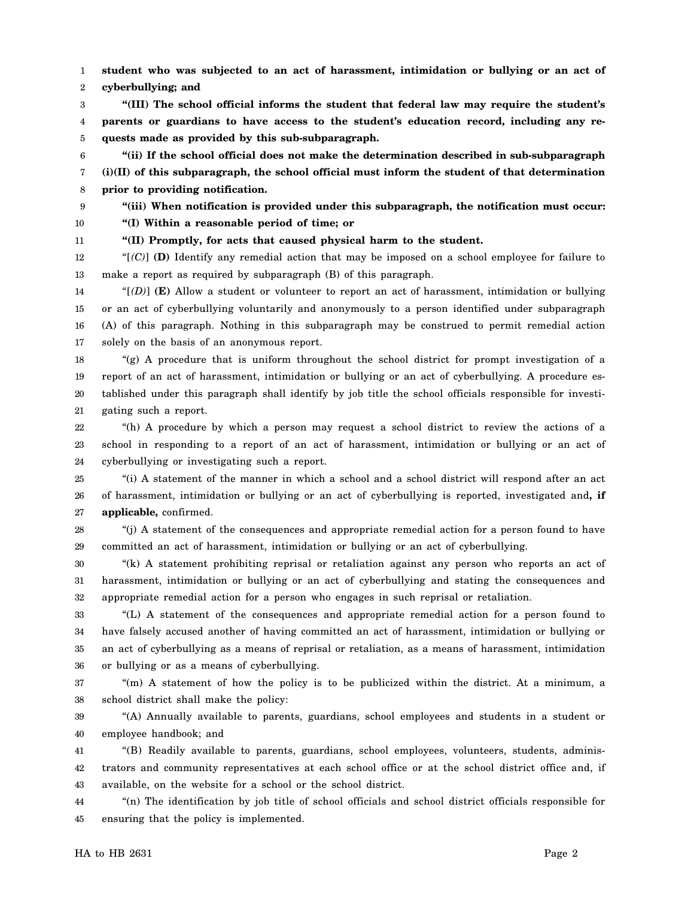1 2 **student who was subjected to an act of harassment, intimidation or bullying or an act of cyberbullying; and**

3 4 5 **"(III) The school official informs the student that federal law may require the student's parents or guardians to have access to the student's education record, including any requests made as provided by this sub-subparagraph.**

6 7 8 **"(ii) If the school official does not make the determination described in sub-subparagraph (i)(II) of this subparagraph, the school official must inform the student of that determination prior to providing notification.**

9

10 **"(iii) When notification is provided under this subparagraph, the notification must occur: "(I) Within a reasonable period of time; or**

11 **"(II) Promptly, for acts that caused physical harm to the student.**

12 13 "[*(C)*] **(D)** Identify any remedial action that may be imposed on a school employee for failure to make a report as required by subparagraph (B) of this paragraph.

14 15 16 17 " $[$ (*D*) $]$  **(E)** Allow a student or volunteer to report an act of harassment, intimidation or bullying or an act of cyberbullying voluntarily and anonymously to a person identified under subparagraph (A) of this paragraph. Nothing in this subparagraph may be construed to permit remedial action solely on the basis of an anonymous report.

18 19 20 21 "(g) A procedure that is uniform throughout the school district for prompt investigation of a report of an act of harassment, intimidation or bullying or an act of cyberbullying. A procedure established under this paragraph shall identify by job title the school officials responsible for investigating such a report.

22 23 24 "(h) A procedure by which a person may request a school district to review the actions of a school in responding to a report of an act of harassment, intimidation or bullying or an act of cyberbullying or investigating such a report.

25 26 27 "(i) A statement of the manner in which a school and a school district will respond after an act of harassment, intimidation or bullying or an act of cyberbullying is reported, investigated and**, if applicable,** confirmed.

28 29 "(j) A statement of the consequences and appropriate remedial action for a person found to have committed an act of harassment, intimidation or bullying or an act of cyberbullying.

30 31 32 "(k) A statement prohibiting reprisal or retaliation against any person who reports an act of harassment, intimidation or bullying or an act of cyberbullying and stating the consequences and appropriate remedial action for a person who engages in such reprisal or retaliation.

33 34 35 36 "(L) A statement of the consequences and appropriate remedial action for a person found to have falsely accused another of having committed an act of harassment, intimidation or bullying or an act of cyberbullying as a means of reprisal or retaliation, as a means of harassment, intimidation or bullying or as a means of cyberbullying.

37 38 "(m) A statement of how the policy is to be publicized within the district. At a minimum, a school district shall make the policy:

39 40 "(A) Annually available to parents, guardians, school employees and students in a student or employee handbook; and

41 42 43 "(B) Readily available to parents, guardians, school employees, volunteers, students, administrators and community representatives at each school office or at the school district office and, if available, on the website for a school or the school district.

44 45 "(n) The identification by job title of school officials and school district officials responsible for ensuring that the policy is implemented.